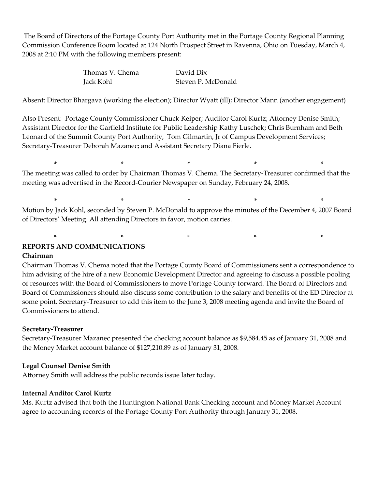The Board of Directors of the Portage County Port Authority met in the Portage County Regional Planning Commission Conference Room located at 124 North Prospect Street in Ravenna, Ohio on Tuesday, March 4, 2008 at 2:10 PM with the following members present:

| Thomas V. Chema | David Dix          |
|-----------------|--------------------|
| Jack Kohl       | Steven P. McDonald |

Absent: Director Bhargava (working the election); Director Wyatt (ill); Director Mann (another engagement)

Also Present: Portage County Commissioner Chuck Keiper; Auditor Carol Kurtz; Attorney Denise Smith; Assistant Director for the Garfield Institute for Public Leadership Kathy Luschek; Chris Burnham and Beth Leonard of the Summit County Port Authority, Tom Gilmartin, Jr of Campus Development Services; Secretary-Treasurer Deborah Mazanec; and Assistant Secretary Diana Fierle.

**\* \* \* \* \*** The meeting was called to order by Chairman Thomas V. Chema. The Secretary-Treasurer confirmed that the meeting was advertised in the Record-Courier Newspaper on Sunday, February 24, 2008.

\* \* \* \* \* Motion by Jack Kohl, seconded by Steven P. McDonald to approve the minutes of the December 4, 2007 Board of Directors' Meeting. All attending Directors in favor, motion carries.

**\* \* \* \* \* REPORTS AND COMMUNICATIONS Chairman**

Chairman Thomas V. Chema noted that the Portage County Board of Commissioners sent a correspondence to him advising of the hire of a new Economic Development Director and agreeing to discuss a possible pooling of resources with the Board of Commissioners to move Portage County forward. The Board of Directors and Board of Commissioners should also discuss some contribution to the salary and benefits of the ED Director at some point. Secretary-Treasurer to add this item to the June 3, 2008 meeting agenda and invite the Board of Commissioners to attend.

## **Secretary-Treasurer**

Secretary-Treasurer Mazanec presented the checking account balance as \$9,584.45 as of January 31, 2008 and the Money Market account balance of \$127,210.89 as of January 31, 2008.

## **Legal Counsel Denise Smith**

Attorney Smith will address the public records issue later today.

#### **Internal Auditor Carol Kurtz**

Ms. Kurtz advised that both the Huntington National Bank Checking account and Money Market Account agree to accounting records of the Portage County Port Authority through January 31, 2008.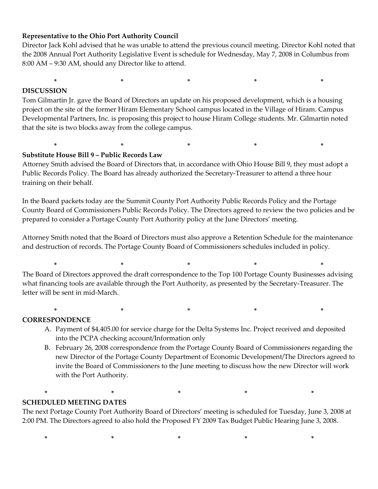# **Representative to the Ohio Port Authority Council**

Director Jack Kohl advised that he was unable to attend the previous council meeting. Director Kohl noted that the 2008 Annual Port Authority Legislative Event is schedule for Wednesday, May 7, 2008 in Columbus from 8:00 AM – 9:30 AM, should any Director like to attend.

**\* \* \* \* \***

# **DISCUSSION**

Tom Gilmartin Jr. gave the Board of Directors an update on his proposed development, which is a housing project on the site of the former Hiram Elementary School campus located in the Village of Hiram. Campus Developmental Partners, Inc. is proposing this project to house Hiram College students. Mr. Gilmartin noted that the site is two blocks away from the college campus.

# **Substitute House Bill 9 – Public Records Law**

Attorney Smith advised the Board of Directors that, in accordance with Ohio House Bill 9, they must adopt a Public Records Policy. The Board has already authorized the Secretary-Treasurer to attend a three hour training on their behalf.

**\* \* \* \* \***

In the Board packets today are the Summit County Port Authority Public Records Policy and the Portage County Board of Commissioners Public Records Policy. The Directors agreed to review the two policies and be prepared to consider a Portage County Port Authority policy at the June Directors' meeting.

Attorney Smith noted that the Board of Directors must also approve a Retention Schedule for the maintenance and destruction of records. The Portage County Board of Commissioners schedules included in policy.

The Board of Directors approved the draft correspondence to the Top 100 Portage County Businesses advising what financing tools are available through the Port Authority, as presented by the Secretary-Treasurer. The letter will be sent in mid-March.

**\* \* \* \* \***

**\* \* \* \* \***

## **CORRESPONDENCE**

- A. Payment of \$4,405.00 for service charge for the Delta Systems Inc. Project received and deposited into the PCPA checking account/Information only
- B. February 26, 2008 correspondence from the Portage County Board of Commissioners regarding the new Director of the Portage County Department of Economic Development/The Directors agreed to invite the Board of Commissioners to the June meeting to discuss how the new Director will work with the Port Authority.

## **SCHEDULED MEETING DATES**

The next Portage County Port Authority Board of Directors' meeting is scheduled for Tuesday, June 3, 2008 at 2:00 PM. The Directors agreed to also hold the Proposed FY 2009 Tax Budget Public Hearing June 3, 2008.

**\* \* \* \* \***

**\* \* \* \* \***